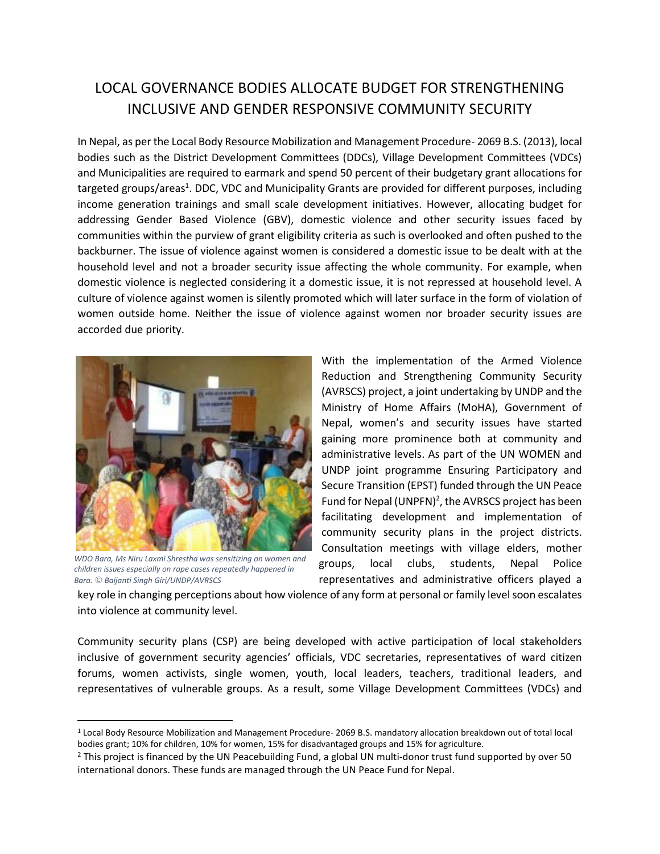## LOCAL GOVERNANCE BODIES ALLOCATE BUDGET FOR STRENGTHENING INCLUSIVE AND GENDER RESPONSIVE COMMUNITY SECURITY

In Nepal, as per the Local Body Resource Mobilization and Management Procedure- 2069 B.S. (2013), local bodies such as the District Development Committees (DDCs), Village Development Committees (VDCs) and Municipalities are required to earmark and spend 50 percent of their budgetary grant allocations for targeted groups/areas<sup>1</sup>. DDC, VDC and Municipality Grants are provided for different purposes, including income generation trainings and small scale development initiatives. However, allocating budget for addressing Gender Based Violence (GBV), domestic violence and other security issues faced by communities within the purview of grant eligibility criteria as such is overlooked and often pushed to the backburner. The issue of violence against women is considered a domestic issue to be dealt with at the household level and not a broader security issue affecting the whole community. For example, when domestic violence is neglected considering it a domestic issue, it is not repressed at household level. A culture of violence against women is silently promoted which will later surface in the form of violation of women outside home. Neither the issue of violence against women nor broader security issues are accorded due priority.



*WDO Bara, Ms Niru Laxmi Shrestha was sensitizing on women and children issues especially on rape cases repeatedly happened in Bara. © Baijanti Singh Giri/UNDP/AVRSCS*

 $\overline{\phantom{a}}$ 

With the implementation of the Armed Violence Reduction and Strengthening Community Security (AVRSCS) project, a joint undertaking by UNDP and the Ministry of Home Affairs (MoHA), Government of Nepal, women's and security issues have started gaining more prominence both at community and administrative levels. As part of the UN WOMEN and UNDP joint programme Ensuring Participatory and Secure Transition (EPST) funded through the UN Peace Fund for Nepal (UNPFN)<sup>2</sup>, the AVRSCS project has been facilitating development and implementation of community security plans in the project districts. Consultation meetings with village elders, mother groups, local clubs, students, Nepal Police representatives and administrative officers played a

key role in changing perceptions about how violence of any form at personal or family level soon escalates into violence at community level.

Community security plans (CSP) are being developed with active participation of local stakeholders inclusive of government security agencies' officials, VDC secretaries, representatives of ward citizen forums, women activists, single women, youth, local leaders, teachers, traditional leaders, and representatives of vulnerable groups. As a result, some Village Development Committees (VDCs) and

<sup>1</sup> Local Body Resource Mobilization and Management Procedure- 2069 B.S. mandatory allocation breakdown out of total local bodies grant; 10% for children, 10% for women, 15% for disadvantaged groups and 15% for agriculture.

 $2$  This project is financed by the UN Peacebuilding Fund, a global UN multi-donor trust fund supported by over 50 international donors. These funds are managed through the UN Peace Fund for Nepal.